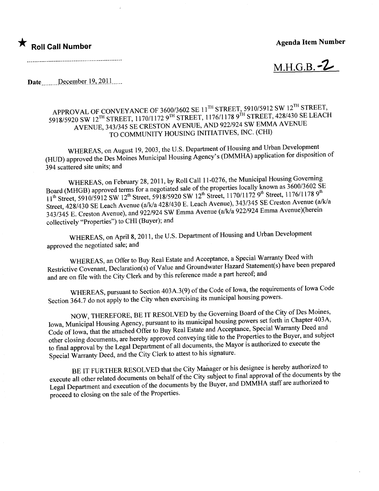## $\star$  Roll Call Number

## Agenda Item Number

 $M.H.G.B. -2$ 

Date December 19, 2011......

----\_.----------\_...\_-------------\_.\_--------\_...\_---

## APPROVAL OF CONVEYANCE OF 3600/3602 SE 11 STATES OF STREET, 428/430 SE I FAC 5918/5920 SW 12<sup>th</sup> STREET, 1170/1172 9TH STREET, 1176/1179 9TH STREET, 128<sup>1</sup> SE LEACH AVENUE AVENUE, 343/345 SE CRESTON AVENUE, AND 922/924 SW EMMA AVENUE TO COMMUNITY HOUSING INITIATIVES, INC. (CHI)

WHEREAS, on August 19, 2003, the U.S. Department of Housing and Urban Development (HUD) approved the Des Moines Municipal Housing Agency's (DMMHA) application for disposition of 394 scattered site units; and

Board (MHGB) approved terms for a negotiated sale of the properties locally known as  $3600/3602$  SE WHEREAS, on February 28, 2011, by Roll Call 11-0276, the Municipal Housing Governing  $11^{th}$  Street, 5910/5912 SW 12<sup>th</sup> Street, 5918/5920 SW 12<sup>th</sup> Street, 1170/1172 9<sup>th</sup> Street, 1176/1178 9<sup>th</sup> Street, 428/430 SE Leach Avenue (a/k/a 428/430 E. Leach Avenue), 343/345 SE Creston Avenue (a/k/a Street, 428/430 SE Leach Avenue (a/k/a 428/430 E. Leach Avenue), 343/3345 Septime Avenue (berein  $343/345$  E. Creston Avenue), and  $922/924$  SW Emma Avenue (also  $222/924$  Emma Avenue)(herein collectively "Properties") to CHI (Buyer); and

WHEREAS, on April 8, 2011, the U.S. Department of Housing and Urban Development approved the negotiated sale; and

WHREAS, an Offer to Buy Real Estate and Acceptance, a Special Warranty Deed with Restrictive Covenant, Declaration(s) of Value and Groundwater Hazard Statement(s) have been prepared and are on file with the City Clerk and by this reference made a part hereof; and

WHEREAS, pursuant to Section 403A.3(9) of the Code of Iowa, the requirements of Iowa Code Section 364.7 do not apply to the City when exercising its municipal housing powers.

NOW, THEREFORE, BE IT RESOLVED by the Governing Board of the City of Des Moines, Iowa, Municipal Housing Agency, pursuant to its municipal housing powers set forth in Chapter 403A, Code of Iowa, that the attached Offer to Buy Real Estate and Acceptance, Special Warranty Deed and other closing documents, are hereby approved conveying title to the Properties to the Buyer, and subject to final approval by the Legal Department of all documents, the Mayor is authorized to execute the Special Waranty Deed, and the City Clerk to attest to his signature.

BE IT FURTHER RESOLVED that the City Manager or his designee is hereby authorized to execute all other related documents on behalf of the City subject to final approval of the documents by the Legal Department and execution of the documents by the Buyer, and DMMHA staff are authorized to proceed to closing on the sale of the Properties.